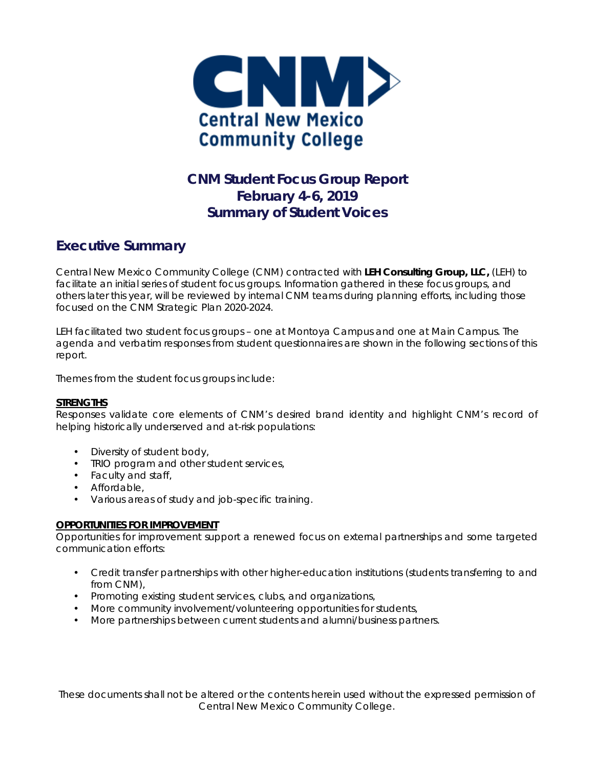

## **CNM Student Focus Group Report February 4-6, 2019 Summary of Student Voices**

## **Executive Summary**

Central New Mexico Community College (CNM) contracted with *LEH Consulting Group, LLC,* (LEH) to facilitate an initial series of student focus groups. Information gathered in these focus groups, and others later this year, will be reviewed by internal CNM teams during planning efforts, including those focused on the CNM Strategic Plan 2020-2024.

LEH facilitated two student focus groups – one at Montoya Campus and one at Main Campus. The agenda and verbatim responses from student questionnaires are shown in the following sections of this report.

Themes from the student focus groups include:

### **STRENGTHS**

*Responses validate core elements of CNM's desired brand identity and highlight CNM's record of helping historically underserved and at-risk populations:* 

- Diversity of student body,
- TRIO program and other student services,
- Faculty and staff,
- Affordable,
- Various areas of study and job-specific training.

### **OPPORTUNITIES FOR IMPROVEMENT**

*Opportunities for improvement support a renewed focus on external partnerships and some targeted communication efforts:* 

- Credit transfer partnerships with other higher-education institutions (students transferring to and from CNM),
- Promoting existing student services, clubs, and organizations,
- More community involvement/volunteering opportunities for students,
- More partnerships between current students and alumni/business partners.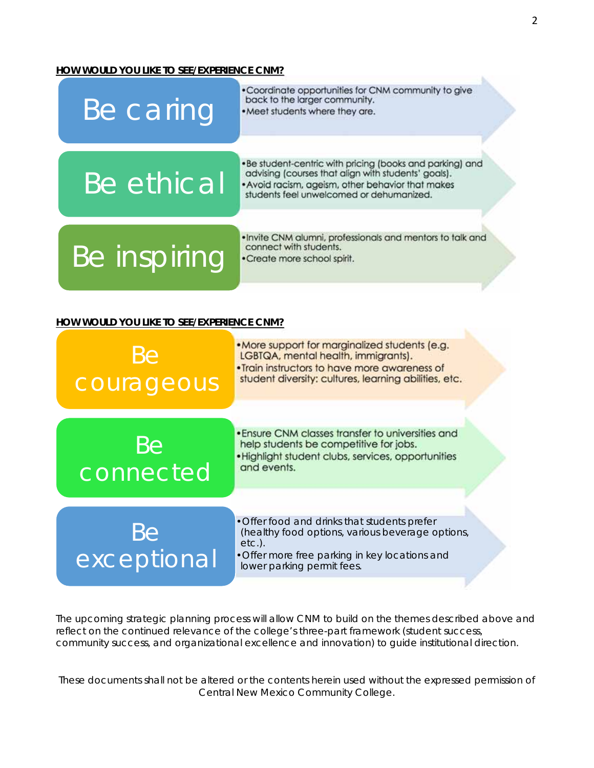#### **HOW WOULD YOU LIKE TO SEE/EXPERIENCE CNM?**



Be connected

•Ensure CNM classes transfer to universities and help students be competitive for jobs. •Highlight student clubs, services, opportunities

and events.

Be exceptional •Offer food and drinks that students prefer (healthy food options, various beverage options, etc.). •Offer more free parking in key locations and

lower parking permit fees.

The upcoming strategic planning process will allow CNM to build on the themes described above and reflect on the continued relevance of the college's three-part framework (student success, community success, and organizational excellence and innovation) to guide institutional direction.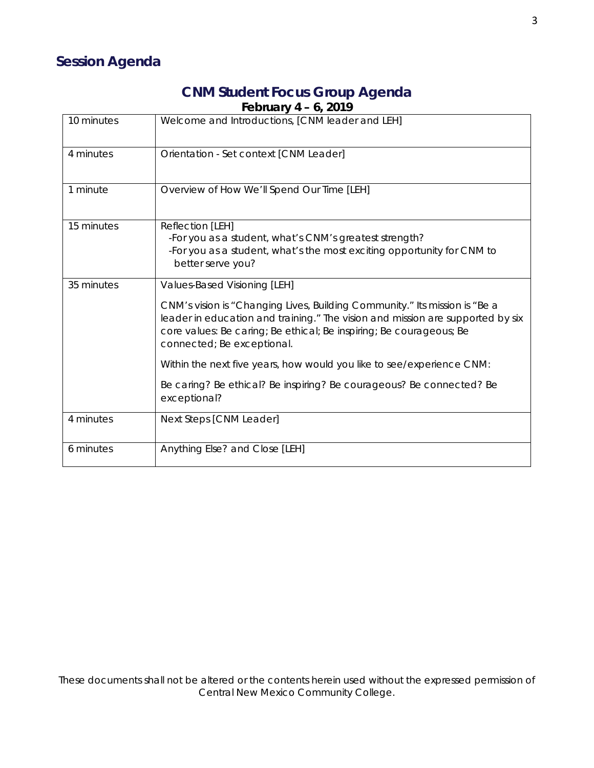## **CNM Student Focus Group Agenda February 4 – 6, 2019**

| 10 minutes | Welcome and Introductions, [CNM leader and LEH]                                                                                                                                                                                                                   |
|------------|-------------------------------------------------------------------------------------------------------------------------------------------------------------------------------------------------------------------------------------------------------------------|
| 4 minutes  | Orientation - Set context [CNM Leader]                                                                                                                                                                                                                            |
| 1 minute   | Overview of How We'll Spend Our Time [LEH]                                                                                                                                                                                                                        |
| 15 minutes | Reflection [LEH]<br>-For you as a student, what's CNM's greatest strength?<br>-For you as a student, what's the most exciting opportunity for CNM to<br>better serve you?                                                                                         |
| 35 minutes | Values-Based Visioning [LEH]                                                                                                                                                                                                                                      |
|            | CNM's vision is "Changing Lives, Building Community." Its mission is "Be a<br>leader in education and training." The vision and mission are supported by six<br>core values: Be caring; Be ethical; Be inspiring; Be courageous; Be<br>connected; Be exceptional. |
|            | Within the next five years, how would you like to see/experience CNM:                                                                                                                                                                                             |
|            | Be caring? Be ethical? Be inspiring? Be courageous? Be connected? Be<br>exceptional?                                                                                                                                                                              |
| 4 minutes  | Next Steps [CNM Leader]                                                                                                                                                                                                                                           |
| 6 minutes  | Anything Else? and Close [LEH]                                                                                                                                                                                                                                    |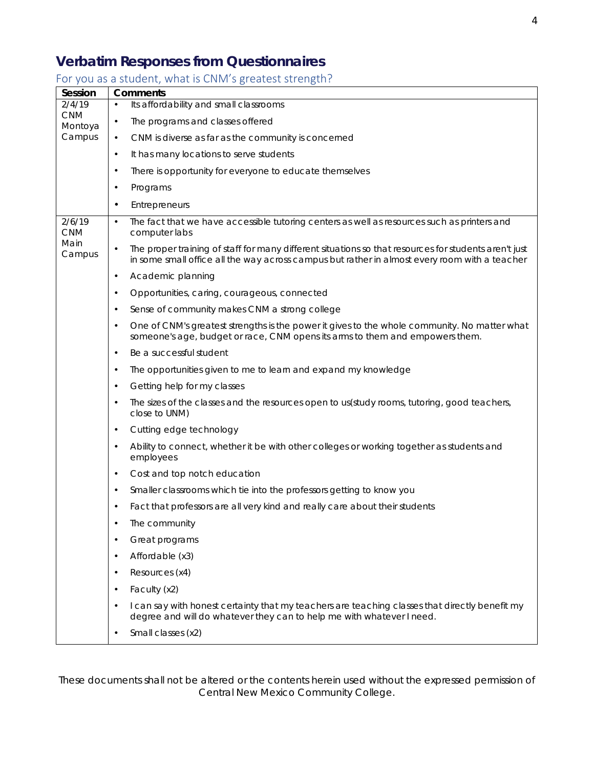# **Verbatim Responses from Questionnaires**

### For you as a student, what is CNM's greatest strength?

| Session               | <b>Comments</b>                                                                                                                                                                                                     |  |
|-----------------------|---------------------------------------------------------------------------------------------------------------------------------------------------------------------------------------------------------------------|--|
| 2/4/19                | Its affordability and small classrooms<br>$\bullet$                                                                                                                                                                 |  |
| <b>CNM</b><br>Montoya | The programs and classes offered<br>$\bullet$                                                                                                                                                                       |  |
| Campus                | CNM is diverse as far as the community is concerned<br>$\bullet$                                                                                                                                                    |  |
|                       | It has many locations to serve students<br>$\bullet$                                                                                                                                                                |  |
|                       | There is opportunity for everyone to educate themselves<br>$\bullet$                                                                                                                                                |  |
|                       | Programs<br>$\bullet$                                                                                                                                                                                               |  |
|                       | Entrepreneurs<br>$\bullet$                                                                                                                                                                                          |  |
| 2/6/19<br><b>CNM</b>  | The fact that we have accessible tutoring centers as well as resources such as printers and<br>$\bullet$<br>computer labs                                                                                           |  |
| Main<br>Campus        | The proper training of staff for many different situations so that resources for students aren't just<br>$\bullet$<br>in some small office all the way across campus but rather in almost every room with a teacher |  |
|                       | Academic planning<br>$\bullet$                                                                                                                                                                                      |  |
|                       | Opportunities, caring, courageous, connected<br>$\bullet$                                                                                                                                                           |  |
|                       | Sense of community makes CNM a strong college<br>$\bullet$                                                                                                                                                          |  |
|                       | One of CNM's greatest strengths is the power it gives to the whole community. No matter what<br>$\bullet$<br>someone's age, budget or race, CNM opens its arms to them and empowers them.                           |  |
|                       | Be a successful student<br>$\bullet$                                                                                                                                                                                |  |
|                       | The opportunities given to me to learn and expand my knowledge<br>$\bullet$                                                                                                                                         |  |
|                       | Getting help for my classes<br>$\bullet$                                                                                                                                                                            |  |
|                       | The sizes of the classes and the resources open to us(study rooms, tutoring, good teachers,<br>$\bullet$<br>close to UNM)                                                                                           |  |
|                       | Cutting edge technology<br>$\bullet$                                                                                                                                                                                |  |
|                       | Ability to connect, whether it be with other colleges or working together as students and<br>٠<br>employees                                                                                                         |  |
|                       | Cost and top notch education<br>$\bullet$                                                                                                                                                                           |  |
|                       | Smaller classrooms which tie into the professors getting to know you<br>$\bullet$                                                                                                                                   |  |
|                       | Fact that professors are all very kind and really care about their students<br>$\bullet$                                                                                                                            |  |
|                       | The community                                                                                                                                                                                                       |  |
|                       | Great programs                                                                                                                                                                                                      |  |
|                       | Affordable (x3)<br>$\bullet$                                                                                                                                                                                        |  |
|                       | Resources (x4)<br>$\bullet$                                                                                                                                                                                         |  |
|                       | Faculty (x2)<br>$\bullet$                                                                                                                                                                                           |  |
|                       | I can say with honest certainty that my teachers are teaching classes that directly benefit my<br>$\bullet$<br>degree and will do whatever they can to help me with whatever I need.                                |  |
|                       | Small classes (x2)<br>$\bullet$                                                                                                                                                                                     |  |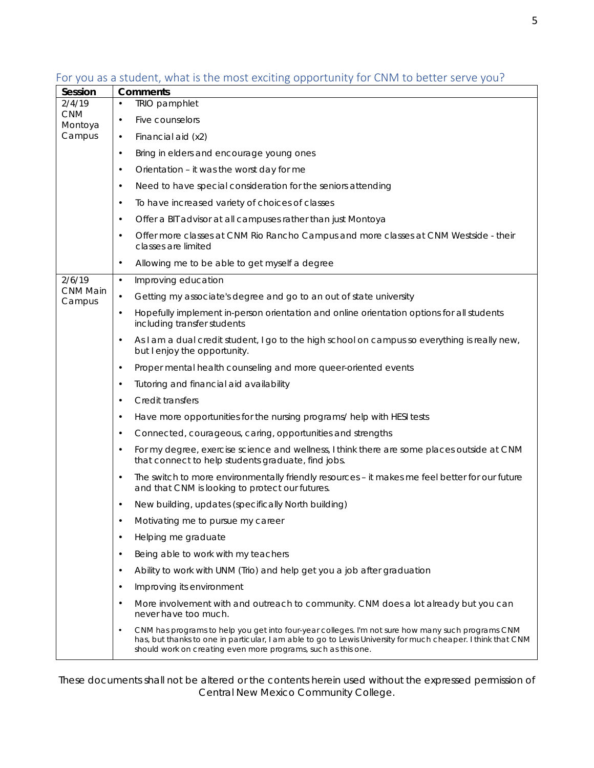| Session                         | <b>Comments</b>                                                                                                                                                                                                                                                                    |  |
|---------------------------------|------------------------------------------------------------------------------------------------------------------------------------------------------------------------------------------------------------------------------------------------------------------------------------|--|
| 2/4/19<br><b>CNM</b><br>Montoya | <b>TRIO</b> pamphlet                                                                                                                                                                                                                                                               |  |
|                                 | Five counselors                                                                                                                                                                                                                                                                    |  |
| Campus                          | Financial aid (x2)                                                                                                                                                                                                                                                                 |  |
|                                 | Bring in elders and encourage young ones                                                                                                                                                                                                                                           |  |
|                                 | Orientation - it was the worst day for me                                                                                                                                                                                                                                          |  |
|                                 | Need to have special consideration for the seniors attending                                                                                                                                                                                                                       |  |
|                                 | To have increased variety of choices of classes                                                                                                                                                                                                                                    |  |
|                                 | Offer a BIT advisor at all campuses rather than just Montoya                                                                                                                                                                                                                       |  |
|                                 | Offer more classes at CNM Rio Rancho Campus and more classes at CNM Westside - their<br>classes are limited                                                                                                                                                                        |  |
|                                 | Allowing me to be able to get myself a degree                                                                                                                                                                                                                                      |  |
| 2/6/19                          | Improving education                                                                                                                                                                                                                                                                |  |
| CNM Main<br>Campus              | Getting my associate's degree and go to an out of state university                                                                                                                                                                                                                 |  |
|                                 | Hopefully implement in-person orientation and online orientation options for all students<br>including transfer students                                                                                                                                                           |  |
|                                 | As I am a dual credit student, I go to the high school on campus so everything is really new,<br>but I enjoy the opportunity.                                                                                                                                                      |  |
|                                 | Proper mental health counseling and more queer-oriented events                                                                                                                                                                                                                     |  |
|                                 | Tutoring and financial aid availability                                                                                                                                                                                                                                            |  |
|                                 | Credit transfers                                                                                                                                                                                                                                                                   |  |
|                                 | Have more opportunities for the nursing programs/help with HESI tests                                                                                                                                                                                                              |  |
|                                 | Connected, courageous, caring, opportunities and strengths                                                                                                                                                                                                                         |  |
|                                 | For my degree, exercise science and wellness, I think there are some places outside at CNM<br>that connect to help students graduate, find jobs.                                                                                                                                   |  |
|                                 | The switch to more environmentally friendly resources - it makes me feel better for our future<br>and that CNM is looking to protect our futures.                                                                                                                                  |  |
|                                 | New building, updates (specifically North building)                                                                                                                                                                                                                                |  |
|                                 | Motivating me to pursue my career                                                                                                                                                                                                                                                  |  |
|                                 | Helping me graduate                                                                                                                                                                                                                                                                |  |
|                                 | Being able to work with my teachers                                                                                                                                                                                                                                                |  |
|                                 | Ability to work with UNM (Trio) and help get you a job after graduation                                                                                                                                                                                                            |  |
|                                 | Improving its environment                                                                                                                                                                                                                                                          |  |
|                                 | More involvement with and outreach to community. CNM does a lot already but you can<br>never have too much.                                                                                                                                                                        |  |
|                                 | CNM has programs to help you get into four-year colleges. I'm not sure how many such programs CNM<br>has, but thanks to one in particular, I am able to go to Lewis University for much cheaper. I think that CNM<br>should work on creating even more programs, such as this one. |  |

For you as a student, what is the most exciting opportunity for CNM to better serve you?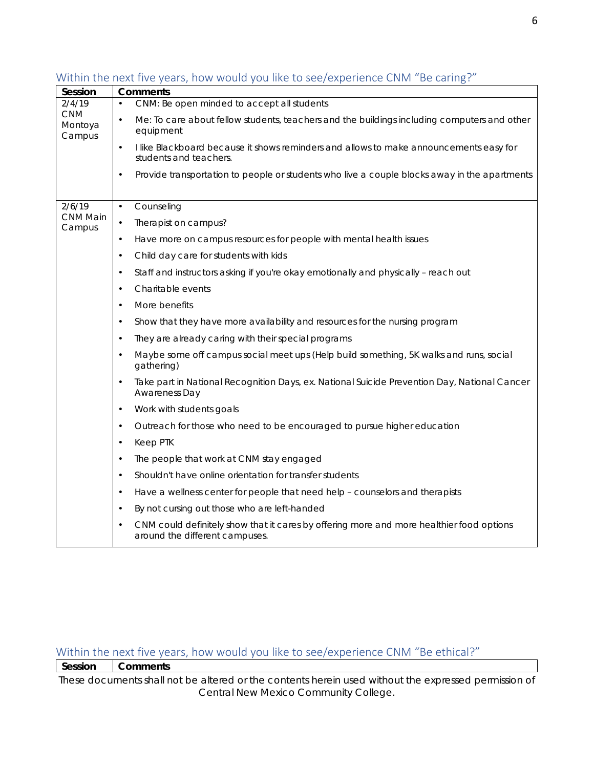| Session                         | <b>Comments</b>                                                                                                                   |  |
|---------------------------------|-----------------------------------------------------------------------------------------------------------------------------------|--|
| 2/4/19                          | CNM: Be open minded to accept all students                                                                                        |  |
| <b>CNM</b><br>Montoya<br>Campus | Me: To care about fellow students, teachers and the buildings including computers and other<br>$\bullet$<br>equipment             |  |
|                                 | I like Blackboard because it shows reminders and allows to make announcements easy for<br>$\bullet$<br>students and teachers.     |  |
|                                 | Provide transportation to people or students who live a couple blocks away in the apartments<br>$\bullet$                         |  |
| 2/6/19                          | Counseling<br>$\bullet$                                                                                                           |  |
| CNM Main<br>Campus              | Therapist on campus?<br>$\bullet$                                                                                                 |  |
|                                 | Have more on campus resources for people with mental health issues<br>$\bullet$                                                   |  |
|                                 | Child day care for students with kids<br>$\bullet$                                                                                |  |
|                                 | Staff and instructors asking if you're okay emotionally and physically - reach out<br>$\bullet$                                   |  |
|                                 | Charitable events<br>$\bullet$                                                                                                    |  |
|                                 | More benefits<br>$\bullet$                                                                                                        |  |
|                                 | Show that they have more availability and resources for the nursing program<br>$\bullet$                                          |  |
|                                 | They are already caring with their special programs<br>٠                                                                          |  |
|                                 | Maybe some off campus social meet ups (Help build something, 5K walks and runs, social<br>$\bullet$<br>gathering)                 |  |
|                                 | Take part in National Recognition Days, ex. National Suicide Prevention Day, National Cancer<br>$\bullet$<br><b>Awareness Day</b> |  |
|                                 | Work with students goals<br>$\bullet$                                                                                             |  |
|                                 | Outreach for those who need to be encouraged to pursue higher education<br>$\bullet$                                              |  |
|                                 | Keep PTK<br>$\bullet$                                                                                                             |  |
|                                 | The people that work at CNM stay engaged<br>$\bullet$                                                                             |  |
|                                 | Shouldn't have online orientation for transfer students<br>$\bullet$                                                              |  |
|                                 | Have a wellness center for people that need help - counselors and therapists<br>$\bullet$                                         |  |
|                                 | By not cursing out those who are left-handed<br>$\bullet$                                                                         |  |
|                                 | CNM could definitely show that it cares by offering more and more healthier food options<br>around the different campuses.        |  |

### Within the next five years, how would you like to see/experience CNM "Be caring?"

### Within the next five years, how would you like to see/experience CNM "Be ethical?"

**Session Comments**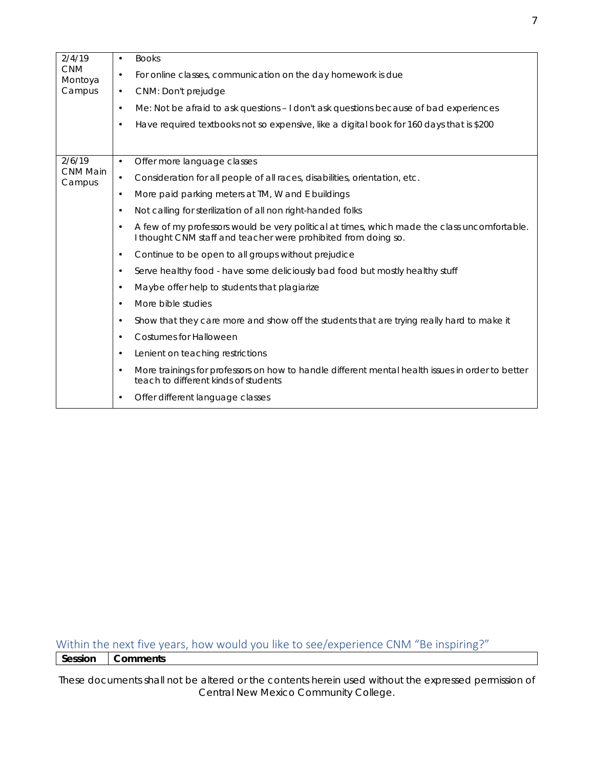| 2/4/19<br><b>CNM</b><br>Montoya | $\bullet$ | <b>Books</b>                                                                                                                                                   |
|---------------------------------|-----------|----------------------------------------------------------------------------------------------------------------------------------------------------------------|
|                                 | $\bullet$ | For online classes, communication on the day homework is due                                                                                                   |
| Campus                          | $\bullet$ | CNM: Don't prejudge                                                                                                                                            |
|                                 | $\bullet$ | Me: Not be afraid to ask questions - I don't ask questions because of bad experiences                                                                          |
|                                 | $\bullet$ | Have required textbooks not so expensive, like a digital book for 160 days that is \$200                                                                       |
|                                 |           |                                                                                                                                                                |
| 2/6/19                          | $\bullet$ | Offer more language classes                                                                                                                                    |
| <b>CNM Main</b><br>Campus       | $\bullet$ | Consideration for all people of all races, disabilities, orientation, etc.                                                                                     |
|                                 | $\bullet$ | More paid parking meters at TM, W and E buildings                                                                                                              |
|                                 | $\bullet$ | Not calling for sterilization of all non right-handed folks                                                                                                    |
|                                 | $\bullet$ | A few of my professors would be very political at times, which made the class uncomfortable.<br>I thought CNM staff and teacher were prohibited from doing so. |
|                                 | $\bullet$ | Continue to be open to all groups without prejudice                                                                                                            |
|                                 | $\bullet$ | Serve healthy food - have some deliciously bad food but mostly healthy stuff                                                                                   |
|                                 | $\bullet$ | Maybe offer help to students that plagiarize                                                                                                                   |
|                                 | $\bullet$ | More bible studies                                                                                                                                             |
|                                 | $\bullet$ | Show that they care more and show off the students that are trying really hard to make it                                                                      |
|                                 | $\bullet$ | <b>Costumes for Halloween</b>                                                                                                                                  |
|                                 | $\bullet$ | Lenient on teaching restrictions                                                                                                                               |
|                                 | $\bullet$ | More trainings for professors on how to handle different mental health issues in order to better<br>teach to different kinds of students                       |
|                                 |           | Offer different language classes                                                                                                                               |

Within the next five years, how would you like to see/experience CNM "Be inspiring?" **Session Comments**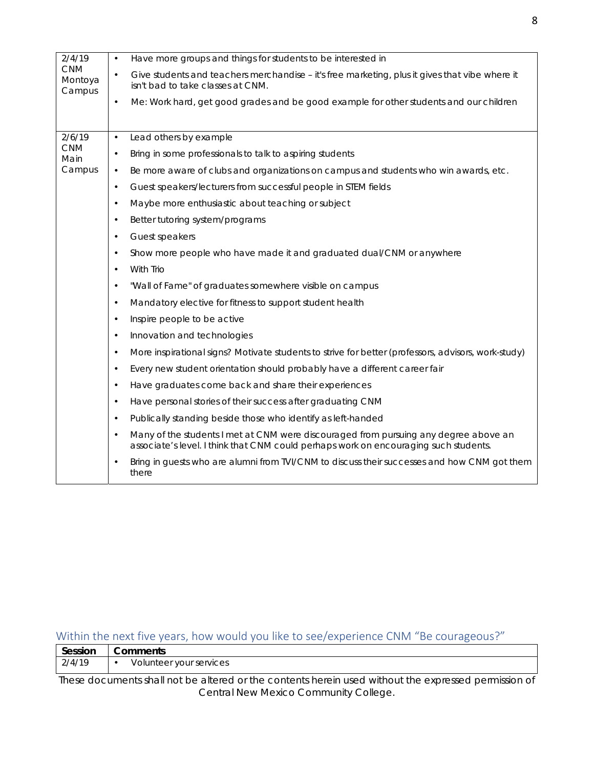| $\bullet$ | Have more groups and things for students to be interested in                                                                        |
|-----------|-------------------------------------------------------------------------------------------------------------------------------------|
| $\bullet$ | Give students and teachers merchandise – it's free marketing, plus it gives that vibe where it<br>isn't bad to take classes at CNM. |
| $\bullet$ | Me: Work hard, get good grades and be good example for other students and our children                                              |
|           |                                                                                                                                     |
|           |                                                                                                                                     |
| $\bullet$ | Lead others by example                                                                                                              |
| $\bullet$ | Bring in some professionals to talk to aspiring students                                                                            |
| $\bullet$ | Be more aware of clubs and organizations on campus and students who win awards, etc.                                                |
| $\bullet$ | Guest speakers/lecturers from successful people in STEM fields                                                                      |
| $\bullet$ | Maybe more enthusiastic about teaching or subject                                                                                   |
| $\bullet$ | Better tutoring system/programs                                                                                                     |
| $\bullet$ | Guest speakers                                                                                                                      |
| $\bullet$ | Show more people who have made it and graduated dual/CNM or anywhere                                                                |

Show more people who • With Trio • "Wall of Fame" of graduates somewhere visible on campus

2/4/19 CNM Montoya Campus

2/6/19 CNM Main Campus

- Mandatory elective for fitness to support student health
- Inspire people to be active
- Innovation and technologies
- More inspirational signs? Motivate students to strive for better (professors, advisors, work-study)
	- Every new student orientation should probably have a different career fair
	- Have graduates come back and share their experiences
	- Have personal stories of their success after graduating CNM
	- Publically standing beside those who identify as left-handed
- Many of the students I met at CNM were discouraged from pursuing any degree above an associate's level. I think that CNM could perhaps work on encouraging such students.
- Bring in guests who are alumni from TVI/CNM to discuss their successes and how CNM got them there

#### Within the next five years, how would you like to see/experience CNM "Be courageous?"

| Session | ∣ Comments              |
|---------|-------------------------|
| 2/4/19  | Volunteer your services |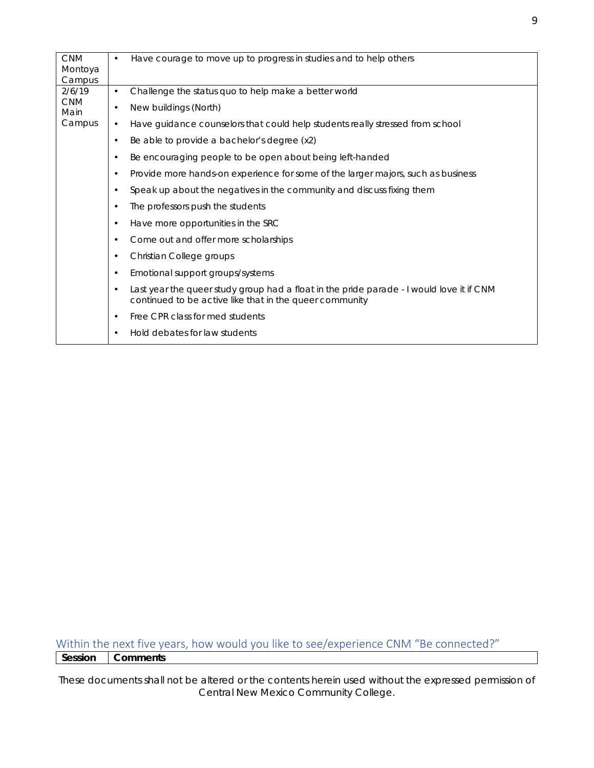| <b>CNM</b><br>Montoya<br>Campus | Have courage to move up to progress in studies and to help others<br>$\bullet$                                                                                   |
|---------------------------------|------------------------------------------------------------------------------------------------------------------------------------------------------------------|
| 2/6/19                          | Challenge the status quo to help make a better world<br>$\bullet$                                                                                                |
| <b>CNM</b><br>Main              | New buildings (North)<br>$\bullet$                                                                                                                               |
| Campus                          | Have guidance counselors that could help students really stressed from school<br>$\bullet$                                                                       |
|                                 | Be able to provide a bachelor's degree (x2)<br>$\bullet$                                                                                                         |
|                                 | Be encouraging people to be open about being left-handed<br>$\bullet$                                                                                            |
|                                 | Provide more hands-on experience for some of the larger majors, such as business<br>$\bullet$                                                                    |
|                                 | Speak up about the negatives in the community and discuss fixing them<br>$\bullet$                                                                               |
|                                 | The professors push the students<br>$\bullet$                                                                                                                    |
|                                 | Have more opportunities in the SRC<br>$\bullet$                                                                                                                  |
|                                 | Come out and offer more scholarships<br>$\bullet$                                                                                                                |
|                                 | Christian College groups<br>$\bullet$                                                                                                                            |
|                                 | Emotional support groups/systems<br>$\bullet$                                                                                                                    |
|                                 | Last year the queer study group had a float in the pride parade - I would love it if CNM<br>$\bullet$<br>continued to be active like that in the queer community |
|                                 | Free CPR class for med students<br>$\bullet$                                                                                                                     |
|                                 | Hold debates for law students<br>$\bullet$                                                                                                                       |

Within the next five years, how would you like to see/experience CNM "Be connected?" **Session Comments**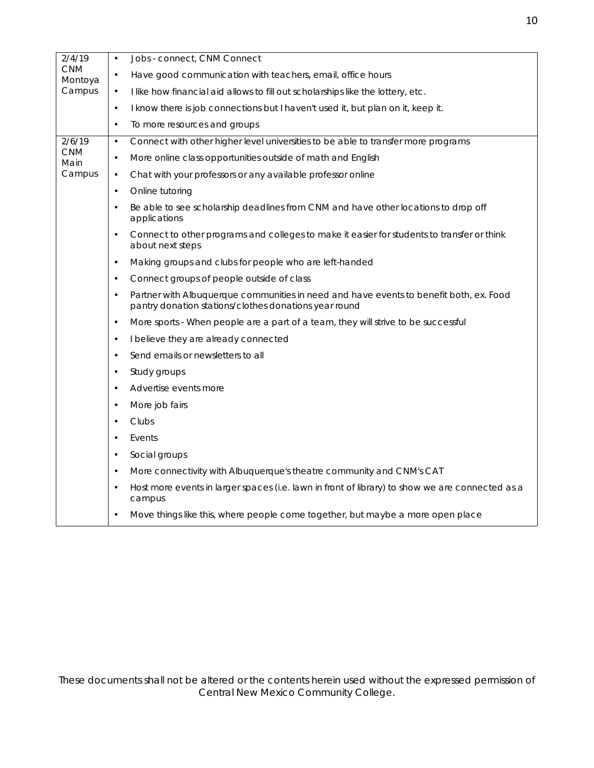| 2/4/19<br><b>CNM</b><br>Montoya | $\bullet$ | Jobs - connect, CNM Connect                                                                                                                     |
|---------------------------------|-----------|-------------------------------------------------------------------------------------------------------------------------------------------------|
|                                 | $\bullet$ | Have good communication with teachers, email, office hours                                                                                      |
| Campus                          | $\bullet$ | I like how financial aid allows to fill out scholarships like the lottery, etc.                                                                 |
|                                 | $\bullet$ | I know there is job connections but I haven't used it, but plan on it, keep it.                                                                 |
|                                 | $\bullet$ | To more resources and groups                                                                                                                    |
| 2/6/19                          | $\bullet$ | Connect with other higher level universities to be able to transfer more programs                                                               |
| <b>CNM</b><br>Main              | $\bullet$ | More online class opportunities outside of math and English                                                                                     |
| Campus                          | $\bullet$ | Chat with your professors or any available professor online                                                                                     |
|                                 | $\bullet$ | Online tutoring                                                                                                                                 |
|                                 | $\bullet$ | Be able to see scholarship deadlines from CNM and have other locations to drop off<br>applications                                              |
|                                 | $\bullet$ | Connect to other programs and colleges to make it easier for students to transfer or think<br>about next steps                                  |
|                                 | $\bullet$ | Making groups and clubs for people who are left-handed                                                                                          |
|                                 | $\bullet$ | Connect groups of people outside of class                                                                                                       |
|                                 | $\bullet$ | Partner with Albuquerque communities in need and have events to benefit both, ex. Food<br>pantry donation stations/clothes donations year round |
|                                 | $\bullet$ | More sports - When people are a part of a team, they will strive to be successful                                                               |
|                                 | $\bullet$ | I believe they are already connected                                                                                                            |
|                                 | $\bullet$ | Send emails or newsletters to all                                                                                                               |
|                                 | $\bullet$ | Study groups                                                                                                                                    |
|                                 | $\bullet$ | Advertise events more                                                                                                                           |
|                                 | $\bullet$ | More job fairs                                                                                                                                  |
|                                 | $\bullet$ | Clubs                                                                                                                                           |
|                                 | $\bullet$ | Events                                                                                                                                          |
|                                 | $\bullet$ | Social groups                                                                                                                                   |
|                                 | $\bullet$ | More connectivity with Albuquerque's theatre community and CNM's CAT                                                                            |
|                                 | $\bullet$ | Host more events in larger spaces (i.e. lawn in front of library) to show we are connected as a<br>campus                                       |
|                                 | $\bullet$ | Move things like this, where people come together, but maybe a more open place                                                                  |